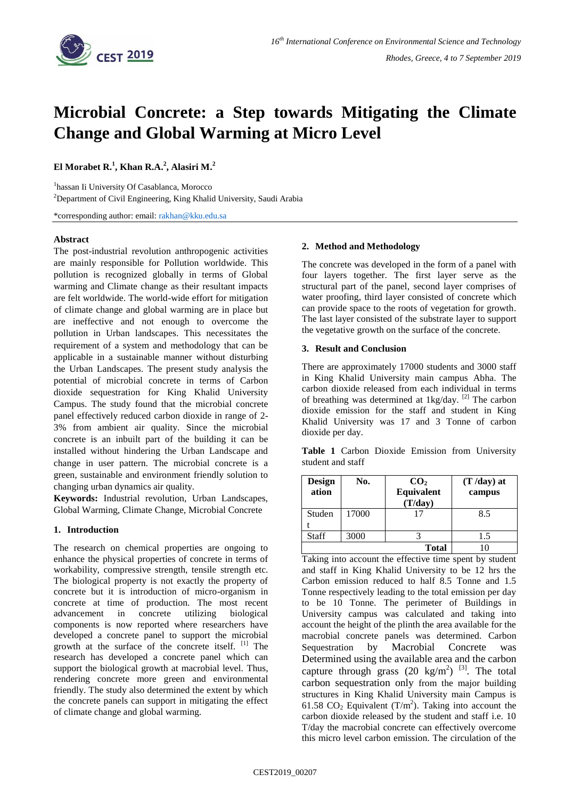

# **Microbial Concrete: a Step towards Mitigating the Climate Change and Global Warming at Micro Level**

**El Morabet R.<sup>1</sup> , Khan R.A.<sup>2</sup> , Alasiri M.<sup>2</sup>**

<sup>1</sup>hassan Ii University Of Casablanca, Morocco

<sup>2</sup>Department of Civil Engineering, King Khalid University, Saudi Arabia

\*corresponding author: email[: rakhan@kku.edu.sa](mailto:rakhan@kku.edu.sa)

# **Abstract**

The post-industrial revolution anthropogenic activities are mainly responsible for Pollution worldwide. This pollution is recognized globally in terms of Global warming and Climate change as their resultant impacts are felt worldwide. The world-wide effort for mitigation of climate change and global warming are in place but are ineffective and not enough to overcome the pollution in Urban landscapes. This necessitates the requirement of a system and methodology that can be applicable in a sustainable manner without disturbing the Urban Landscapes. The present study analysis the potential of microbial concrete in terms of Carbon dioxide sequestration for King Khalid University Campus. The study found that the microbial concrete panel effectively reduced carbon dioxide in range of 2- 3% from ambient air quality. Since the microbial concrete is an inbuilt part of the building it can be installed without hindering the Urban Landscape and change in user pattern. The microbial concrete is a green, sustainable and environment friendly solution to changing urban dynamics air quality.

**Keywords:** Industrial revolution, Urban Landscapes, Global Warming, Climate Change, Microbial Concrete

# **1. Introduction**

The research on chemical properties are ongoing to enhance the physical properties of concrete in terms of workability, compressive strength, tensile strength etc. The biological property is not exactly the property of concrete but it is introduction of micro-organism in concrete at time of production. The most recent advancement in concrete utilizing biological components is now reported where researchers have developed a concrete panel to support the microbial growth at the surface of the concrete itself. [1] The research has developed a concrete panel which can support the biological growth at macrobial level. Thus, rendering concrete more green and environmental friendly. The study also determined the extent by which the concrete panels can support in mitigating the effect of climate change and global warming.

#### **2. Method and Methodology**

The concrete was developed in the form of a panel with four layers together. The first layer serve as the structural part of the panel, second layer comprises of water proofing, third layer consisted of concrete which can provide space to the roots of vegetation for growth. The last layer consisted of the substrate layer to support the vegetative growth on the surface of the concrete.

## **3. Result and Conclusion**

There are approximately 17000 students and 3000 staff in King Khalid University main campus Abha. The carbon dioxide released from each individual in terms of breathing was determined at 1kg/day.<sup>[2]</sup> The carbon dioxide emission for the staff and student in King Khalid University was 17 and 3 Tonne of carbon dioxide per day.

|  |                   |  | Table 1 Carbon Dioxide Emission from University |
|--|-------------------|--|-------------------------------------------------|
|  | student and staff |  |                                                 |

| <b>Design</b><br>ation | No.   | CO <sub>2</sub><br>Equivalent<br>(T/day) | $(T / day)$ at<br>campus |
|------------------------|-------|------------------------------------------|--------------------------|
| Studen                 | 17000 |                                          | 8.5                      |
|                        |       |                                          |                          |
| Staff                  | 3000  |                                          | 1.5                      |
|                        |       | <b>Total</b>                             |                          |

Taking into account the effective time spent by student and staff in King Khalid University to be 12 hrs the Carbon emission reduced to half 8.5 Tonne and 1.5 Tonne respectively leading to the total emission per day to be 10 Tonne. The perimeter of Buildings in University campus was calculated and taking into account the height of the plinth the area available for the macrobial concrete panels was determined. Carbon Sequestration by Macrobial Concrete was Determined using the available area and the carbon capture through grass  $(20 \text{ kg/m}^2)$  <sup>[3]</sup>. The total carbon sequestration only from the major building structures in King Khalid University main Campus is 61.58  $CO_2$  Equivalent (T/m<sup>2</sup>). Taking into account the carbon dioxide released by the student and staff i.e. 10 T/day the macrobial concrete can effectively overcome this micro level carbon emission. The circulation of the